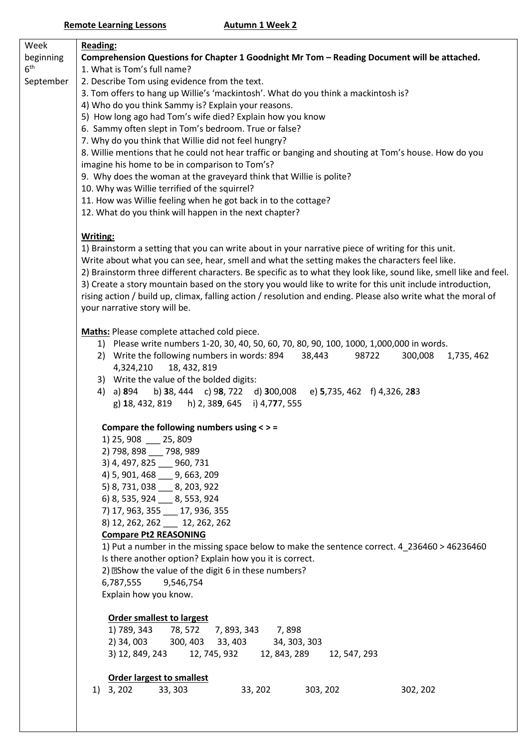| Week            | <b>Reading:</b>                                                                                                               |
|-----------------|-------------------------------------------------------------------------------------------------------------------------------|
| beginning       | Comprehension Questions for Chapter 1 Goodnight Mr Tom - Reading Document will be attached.                                   |
| 6 <sup>th</sup> | 1. What is Tom's full name?                                                                                                   |
| September       | 2. Describe Tom using evidence from the text.                                                                                 |
|                 | 3. Tom offers to hang up Willie's 'mackintosh'. What do you think a mackintosh is?                                            |
|                 | 4) Who do you think Sammy is? Explain your reasons.                                                                           |
|                 | 5) How long ago had Tom's wife died? Explain how you know                                                                     |
|                 | 6. Sammy often slept in Tom's bedroom. True or false?                                                                         |
|                 | 7. Why do you think that Willie did not feel hungry?                                                                          |
|                 | 8. Willie mentions that he could not hear traffic or banging and shouting at Tom's house. How do you                          |
|                 | imagine his home to be in comparison to Tom's?                                                                                |
|                 | 9. Why does the woman at the graveyard think that Willie is polite?                                                           |
|                 | 10. Why was Willie terrified of the squirrel?                                                                                 |
|                 | 11. How was Willie feeling when he got back in to the cottage?                                                                |
|                 | 12. What do you think will happen in the next chapter?                                                                        |
|                 | Writing:                                                                                                                      |
|                 | 1) Brainstorm a setting that you can write about in your narrative piece of writing for this unit.                            |
|                 | Write about what you can see, hear, smell and what the setting makes the characters feel like.                                |
|                 | 2) Brainstorm three different characters. Be specific as to what they look like, sound like, smell like and feel.             |
|                 | 3) Create a story mountain based on the story you would like to write for this unit include introduction,                     |
|                 | rising action / build up, climax, falling action / resolution and ending. Please also write what the moral of                 |
|                 | your narrative story will be.                                                                                                 |
|                 |                                                                                                                               |
|                 | <b>Maths:</b> Please complete attached cold piece.                                                                            |
|                 | 1) Please write numbers 1-20, 30, 40, 50, 60, 70, 80, 90, 100, 1000, 1,000,000 in words.                                      |
|                 | 98722<br>2) Write the following numbers in words: 894 38,443<br>300,008<br>1,735, 462                                         |
|                 | 4,324,210<br>18, 432, 819                                                                                                     |
|                 | 3) Write the value of the bolded digits:<br>b) 38, 444 c) 98, 722 d) 300,008 e) 5,735, 462 f) 4,326, 283<br>4) a) <b>8</b> 94 |
|                 | g) 18, 432, 819 h) 2, 389, 645 i) 4,777, 555                                                                                  |
|                 |                                                                                                                               |
|                 | Compare the following numbers using $\lt$ > =                                                                                 |
|                 | 1) 25, 908 _<br>$-25,809$                                                                                                     |
|                 | 2) 798, 898 __ 798, 989                                                                                                       |
|                 | 3) 4, 497, 825 __ 960, 731                                                                                                    |
|                 | 4) 5, 901, 468 9, 663, 209                                                                                                    |
|                 | 5) 8, 731, 038 __ 8, 203, 922                                                                                                 |
|                 | 6) 8, 535, 924 __ 8, 553, 924                                                                                                 |
|                 | 7) 17, 963, 355 __ 17, 936, 355                                                                                               |
|                 | 8) 12, 262, 262 12, 262, 262                                                                                                  |
|                 | <b>Compare Pt2 REASONING</b>                                                                                                  |
|                 | 1) Put a number in the missing space below to make the sentence correct. 4 236460 > 46236460                                  |
|                 | Is there another option? Explain how you it is correct.                                                                       |
|                 | 2) <b>EShow the value of the digit 6 in these numbers?</b>                                                                    |
|                 | 6,787,555<br>9,546,754                                                                                                        |
|                 | Explain how you know.                                                                                                         |
|                 | <b>Order smallest to largest</b>                                                                                              |
|                 | 1) 789, 343 78, 572 7, 893, 343 7, 898                                                                                        |
|                 | 300, 403 33, 403 34, 303, 303<br>2) 34, 003                                                                                   |
|                 | 3) 12, 849, 243 12, 745, 932 12, 843, 289<br>12, 547, 293                                                                     |
|                 |                                                                                                                               |
|                 | <b>Order largest to smallest</b>                                                                                              |
|                 | $1)$ 3, 202<br>33, 303<br>33, 202<br>303, 202<br>302, 202                                                                     |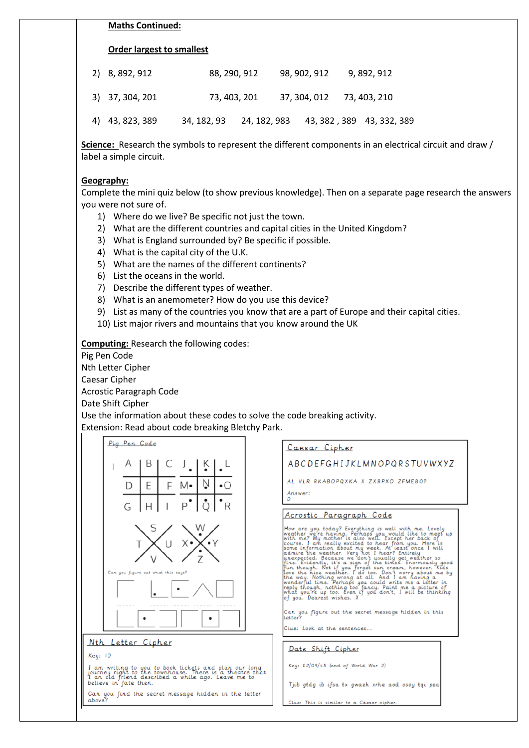### **Maths Continued:**

### **Order largest to smallest**

| 2) 8,892,912    | 88, 290, 912                                       |  | 98, 902, 912              | 9, 892, 912 |  |
|-----------------|----------------------------------------------------|--|---------------------------|-------------|--|
| 3) 37, 304, 201 | 73, 403, 201                                       |  | 37, 304, 012 73, 403, 210 |             |  |
| 4) 43, 823, 389 | 34, 182, 93 24, 182, 983 43, 382, 389 43, 332, 389 |  |                           |             |  |

**Science:** Research the symbols to represent the different components in an electrical circuit and draw / label a simple circuit.

### **Geography:**

Complete the mini quiz below (to show previous knowledge). Then on a separate page research the answers you were not sure of.

- 1) Where do we live? Be specific not just the town.
- 2) What are the different countries and capital cities in the United Kingdom?
- 3) What is England surrounded by? Be specific if possible.
- 4) What is the capital city of the U.K.
- 5) What are the names of the different continents?
- 6) List the oceans in the world.
- 7) Describe the different types of weather.
- 8) What is an anemometer? How do you use this device?
- 9) List as many of the countries you know that are a part of Europe and their capital cities.
- 10) List major rivers and mountains that you know around the UK

**Computing:** Research the following codes:

Pig Pen Code

Nth Letter Cipher

Caesar Cipher

Acrostic Paragraph Code

Date Shift Cipher

Use the information about these codes to solve the code breaking activity. Extension: Read about code breaking Bletchy Park.

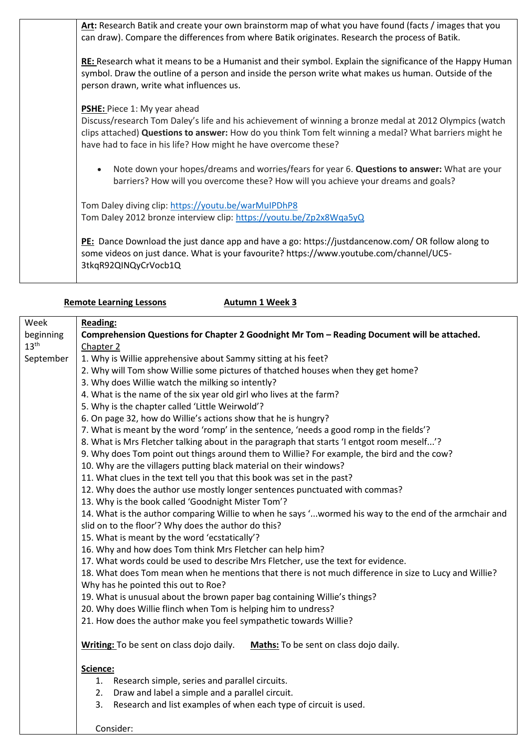**Art:** Research Batik and create your own brainstorm map of what you have found (facts / images that you can draw). Compare the differences from where Batik originates. Research the process of Batik. **RE:** Research what it means to be a Humanist and their symbol. Explain the significance of the Happy Human symbol. Draw the outline of a person and inside the person write what makes us human. Outside of the person drawn, write what influences us. **PSHE:** Piece 1: My year ahead Discuss/research Tom Daley's life and his achievement of winning a bronze medal at 2012 Olympics (watch clips attached) **Questions to answer:** How do you think Tom felt winning a medal? What barriers might he have had to face in his life? How might he have overcome these? • Note down your hopes/dreams and worries/fears for year 6. **Questions to answer:** What are your barriers? How will you overcome these? How will you achieve your dreams and goals? Tom Daley diving clip: <https://youtu.be/warMuIPDhP8> Tom Daley 2012 bronze interview clip: <https://youtu.be/Zp2x8Wqa5yQ> **PE:** Dance Download the just dance app and have a go: https://justdancenow.com/ OR follow along to some videos on just dance. What is your favourite? https://www.youtube.com/channel/UC5- 3tkqR92QINQyCrVocb1Q

### **Remote Learning Lessons Autumn 1 Week 3**

Consider:

| Week             | <b>Reading:</b>                                                                                        |
|------------------|--------------------------------------------------------------------------------------------------------|
| beginning        | Comprehension Questions for Chapter 2 Goodnight Mr Tom - Reading Document will be attached.            |
| 13 <sup>th</sup> | Chapter 2                                                                                              |
| September        | 1. Why is Willie apprehensive about Sammy sitting at his feet?                                         |
|                  | 2. Why will Tom show Willie some pictures of thatched houses when they get home?                       |
|                  | 3. Why does Willie watch the milking so intently?                                                      |
|                  | 4. What is the name of the six year old girl who lives at the farm?                                    |
|                  | 5. Why is the chapter called 'Little Weirwold'?                                                        |
|                  | 6. On page 32, how do Willie's actions show that he is hungry?                                         |
|                  | 7. What is meant by the word 'romp' in the sentence, 'needs a good romp in the fields'?                |
|                  | 8. What is Mrs Fletcher talking about in the paragraph that starts 'I entgot room meself'?             |
|                  | 9. Why does Tom point out things around them to Willie? For example, the bird and the cow?             |
|                  | 10. Why are the villagers putting black material on their windows?                                     |
|                  | 11. What clues in the text tell you that this book was set in the past?                                |
|                  | 12. Why does the author use mostly longer sentences punctuated with commas?                            |
|                  | 13. Why is the book called 'Goodnight Mister Tom'?                                                     |
|                  | 14. What is the author comparing Willie to when he says 'wormed his way to the end of the armchair and |
|                  | slid on to the floor'? Why does the author do this?                                                    |
|                  | 15. What is meant by the word 'ecstatically'?                                                          |
|                  | 16. Why and how does Tom think Mrs Fletcher can help him?                                              |
|                  | 17. What words could be used to describe Mrs Fletcher, use the text for evidence.                      |
|                  | 18. What does Tom mean when he mentions that there is not much difference in size to Lucy and Willie?  |
|                  | Why has he pointed this out to Roe?                                                                    |
|                  | 19. What is unusual about the brown paper bag containing Willie's things?                              |
|                  | 20. Why does Willie flinch when Tom is helping him to undress?                                         |
|                  | 21. How does the author make you feel sympathetic towards Willie?                                      |
|                  |                                                                                                        |
|                  | Writing: To be sent on class dojo daily.<br>Maths: To be sent on class dojo daily.                     |
|                  |                                                                                                        |
|                  | Science:                                                                                               |
|                  | 1. Research simple, series and parallel circuits.                                                      |
|                  | Draw and label a simple and a parallel circuit.<br>2.                                                  |
|                  | 3.<br>Research and list examples of when each type of circuit is used.                                 |
|                  |                                                                                                        |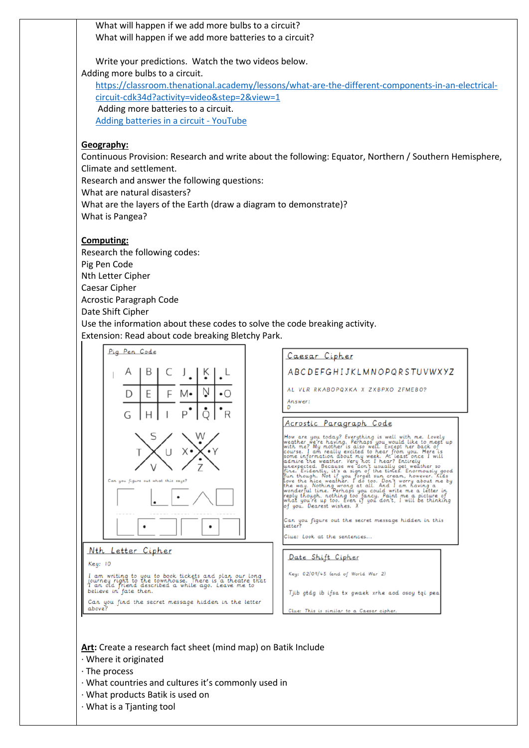What will happen if we add more bulbs to a circuit? What will happen if we add more batteries to a circuit?

Write your predictions. Watch the two videos below. Adding more bulbs to a circuit. [https://classroom.thenational.academy/lessons/what-are-the-different-components-in-an-electrical](https://classroom.thenational.academy/lessons/what-are-the-different-components-in-an-electrical-circuit-cdk34d?activity=video&step=2&view=1)[circuit-cdk34d?activity=video&step=2&view=1](https://classroom.thenational.academy/lessons/what-are-the-different-components-in-an-electrical-circuit-cdk34d?activity=video&step=2&view=1) Adding more batteries to a circuit.

[Adding batteries in a circuit -](https://www.youtube.com/watch?v=w3szTiS5z1Q) YouTube

## **Geography:**

Continuous Provision: Research and write about the following: Equator, Northern / Southern Hemisphere, Climate and settlement.

Research and answer the following questions:

What are natural disasters?

What are the layers of the Earth (draw a diagram to demonstrate)?

What is Pangea?

## **Computing:**

Research the following codes: Pig Pen Code Nth Letter Cipher Caesar Cipher Acrostic Paragraph Code Date Shift Cipher

Use the information about these codes to solve the code breaking activity. Extension: Read about code breaking Bletchy Park.



**Art:** Create a research fact sheet (mind map) on Batik Include

- · Where it originated
- · The process
- · What countries and cultures it's commonly used in
- · What products Batik is used on
- · What is a Tjanting tool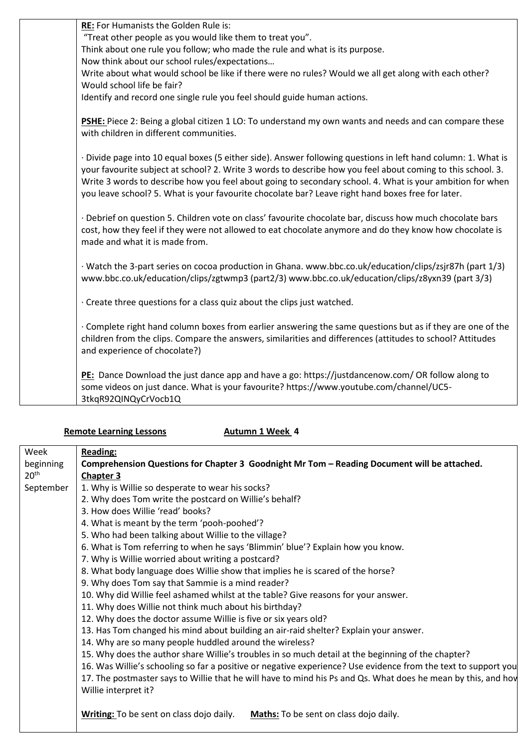| RE: For Humanists the Golden Rule is:                                                                         |
|---------------------------------------------------------------------------------------------------------------|
| "Treat other people as you would like them to treat you".                                                     |
| Think about one rule you follow; who made the rule and what is its purpose.                                   |
| Now think about our school rules/expectations                                                                 |
| Write about what would school be like if there were no rules? Would we all get along with each other?         |
| Would school life be fair?                                                                                    |
| Identify and record one single rule you feel should guide human actions.                                      |
|                                                                                                               |
| PSHE: Piece 2: Being a global citizen 1 LO: To understand my own wants and needs and can compare these        |
| with children in different communities.                                                                       |
|                                                                                                               |
| · Divide page into 10 equal boxes (5 either side). Answer following questions in left hand column: 1. What is |
| your favourite subject at school? 2. Write 3 words to describe how you feel about coming to this school. 3.   |
| Write 3 words to describe how you feel about going to secondary school. 4. What is your ambition for when     |
| you leave school? 5. What is your favourite chocolate bar? Leave right hand boxes free for later.             |
|                                                                                                               |
| · Debrief on question 5. Children vote on class' favourite chocolate bar, discuss how much chocolate bars     |
| cost, how they feel if they were not allowed to eat chocolate anymore and do they know how chocolate is       |
| made and what it is made from.                                                                                |
|                                                                                                               |
| · Watch the 3-part series on cocoa production in Ghana. www.bbc.co.uk/education/clips/zsjr87h (part 1/3)      |
| www.bbc.co.uk/education/clips/zgtwmp3 (part2/3) www.bbc.co.uk/education/clips/z8yxn39 (part 3/3)              |
|                                                                                                               |
| · Create three questions for a class quiz about the clips just watched.                                       |
|                                                                                                               |
| · Complete right hand column boxes from earlier answering the same questions but as if they are one of the    |
| children from the clips. Compare the answers, similarities and differences (attitudes to school? Attitudes    |
| and experience of chocolate?)                                                                                 |
|                                                                                                               |
| PE: Dance Download the just dance app and have a go: https://justdancenow.com/ OR follow along to             |
| some videos on just dance. What is your favourite? https://www.youtube.com/channel/UC5-                       |
| 3tkqR92QINQyCrVocb1Q                                                                                          |
|                                                                                                               |

| <b>Remote Learning Lessons</b> |
|--------------------------------|
|--------------------------------|

**Autumn 1 Week 4** 

| Week             | <b>Reading:</b>                                                                                                |
|------------------|----------------------------------------------------------------------------------------------------------------|
| beginning        | Comprehension Questions for Chapter 3 Goodnight Mr Tom - Reading Document will be attached.                    |
| 20 <sup>th</sup> | <b>Chapter 3</b>                                                                                               |
| September        | 1. Why is Willie so desperate to wear his socks?                                                               |
|                  | 2. Why does Tom write the postcard on Willie's behalf?                                                         |
|                  | 3. How does Willie 'read' books?                                                                               |
|                  | 4. What is meant by the term 'pooh-poohed'?                                                                    |
|                  | 5. Who had been talking about Willie to the village?                                                           |
|                  | 6. What is Tom referring to when he says 'Blimmin' blue'? Explain how you know.                                |
|                  | 7. Why is Willie worried about writing a postcard?                                                             |
|                  | 8. What body language does Willie show that implies he is scared of the horse?                                 |
|                  | 9. Why does Tom say that Sammie is a mind reader?                                                              |
|                  | 10. Why did Willie feel ashamed whilst at the table? Give reasons for your answer.                             |
|                  | 11. Why does Willie not think much about his birthday?                                                         |
|                  | 12. Why does the doctor assume Willie is five or six years old?                                                |
|                  | 13. Has Tom changed his mind about building an air-raid shelter? Explain your answer.                          |
|                  | 14. Why are so many people huddled around the wireless?                                                        |
|                  | 15. Why does the author share Willie's troubles in so much detail at the beginning of the chapter?             |
|                  | 16. Was Willie's schooling so far a positive or negative experience? Use evidence from the text to support you |
|                  | 17. The postmaster says to Willie that he will have to mind his Ps and Qs. What does he mean by this, and hov  |
|                  | Willie interpret it?                                                                                           |
|                  |                                                                                                                |
|                  | Writing: To be sent on class dojo daily.<br>Maths: To be sent on class dojo daily.                             |
|                  |                                                                                                                |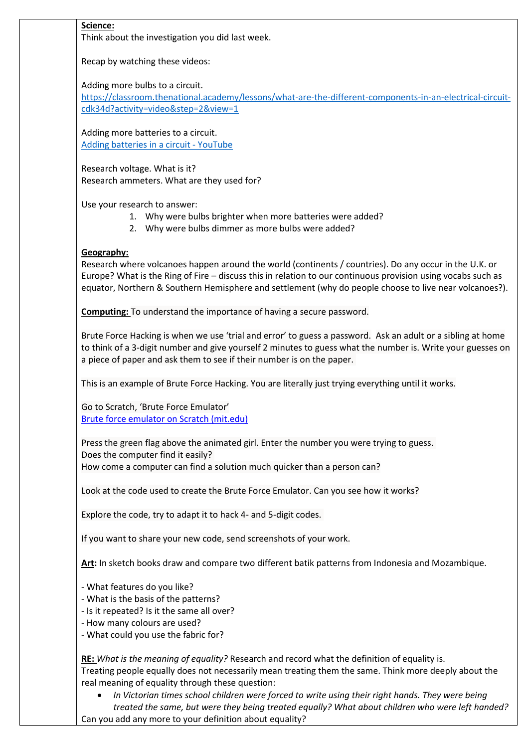# **Science:**

Think about the investigation you did last week.

Recap by watching these videos:

Adding more bulbs to a circuit.

[https://classroom.thenational.academy/lessons/what-are-the-different-components-in-an-electrical-circuit](https://classroom.thenational.academy/lessons/what-are-the-different-components-in-an-electrical-circuit-cdk34d?activity=video&step=2&view=1)[cdk34d?activity=video&step=2&view=1](https://classroom.thenational.academy/lessons/what-are-the-different-components-in-an-electrical-circuit-cdk34d?activity=video&step=2&view=1)

Adding more batteries to a circuit. [Adding batteries in a circuit -](https://www.youtube.com/watch?v=w3szTiS5z1Q) YouTube

Research voltage. What is it? Research ammeters. What are they used for?

Use your research to answer:

- 1. Why were bulbs brighter when more batteries were added?
- 2. Why were bulbs dimmer as more bulbs were added?

# **Geography:**

Research where volcanoes happen around the world (continents / countries). Do any occur in the U.K. or Europe? What is the Ring of Fire – discuss this in relation to our continuous provision using vocabs such as equator, Northern & Southern Hemisphere and settlement (why do people choose to live near volcanoes?).

**Computing:** To understand the importance of having a secure password.

Brute Force Hacking is when we use 'trial and error' to guess a password. Ask an adult or a sibling at home to think of a 3-digit number and give yourself 2 minutes to guess what the number is. Write your guesses on a piece of paper and ask them to see if their number is on the paper.

This is an example of Brute Force Hacking. You are literally just trying everything until it works.

Go to Scratch, 'Brute Force Emulator' [Brute force emulator on Scratch \(mit.edu\)](https://scratch.mit.edu/projects/236230906/editor)

Press the green flag above the animated girl. Enter the number you were trying to guess. Does the computer find it easily? How come a computer can find a solution much quicker than a person can?

Look at the code used to create the Brute Force Emulator. Can you see how it works?

Explore the code, try to adapt it to hack 4- and 5-digit codes.

If you want to share your new code, send screenshots of your work.

**Art:** In sketch books draw and compare two different batik patterns from Indonesia and Mozambique.

- What features do you like?
- What is the basis of the patterns?
- Is it repeated? Is it the same all over?
- How many colours are used?
- What could you use the fabric for?

**RE:** *What is the meaning of equality?* Research and record what the definition of equality is. Treating people equally does not necessarily mean treating them the same. Think more deeply about the real meaning of equality through these question:

• *In Victorian times school children were forced to write using their right hands. They were being treated the same, but were they being treated equally? What about children who were left handed?* Can you add any more to your definition about equality?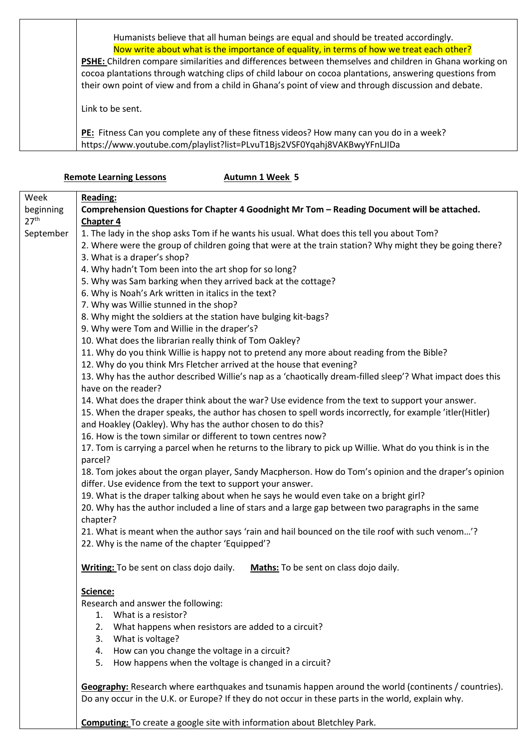| Humanists believe that all human beings are equal and should be treated accordingly.                    |
|---------------------------------------------------------------------------------------------------------|
| Now write about what is the importance of equality, in terms of how we treat each other?                |
| PSHE: Children compare similarities and differences between themselves and children in Ghana working on |
| cocoa plantations through watching clips of child labour on cocoa plantations, answering questions from |
| their own point of view and from a child in Ghana's point of view and through discussion and debate.    |
| Link to be sent.                                                                                        |
| PE: Fitness Can you complete any of these fitness videos? How many can you do in a week?                |
| https://www.youtube.com/playlist?list=PLvuT1Bjs2VSF0Yqahj8VAKBwyYFnLJIDa                                |

|                  | <b>Remote Learning Lessons</b><br>Autumn 1 Week 5                                                                                                    |
|------------------|------------------------------------------------------------------------------------------------------------------------------------------------------|
| Week             | <b>Reading:</b>                                                                                                                                      |
| beginning        | Comprehension Questions for Chapter 4 Goodnight Mr Tom - Reading Document will be attached.                                                          |
| 27 <sup>th</sup> | <b>Chapter 4</b>                                                                                                                                     |
| September        | 1. The lady in the shop asks Tom if he wants his usual. What does this tell you about Tom?                                                           |
|                  | 2. Where were the group of children going that were at the train station? Why might they be going there?                                             |
|                  | 3. What is a draper's shop?                                                                                                                          |
|                  | 4. Why hadn't Tom been into the art shop for so long?                                                                                                |
|                  | 5. Why was Sam barking when they arrived back at the cottage?                                                                                        |
|                  | 6. Why is Noah's Ark written in italics in the text?                                                                                                 |
|                  | 7. Why was Willie stunned in the shop?                                                                                                               |
|                  | 8. Why might the soldiers at the station have bulging kit-bags?                                                                                      |
|                  | 9. Why were Tom and Willie in the draper's?                                                                                                          |
|                  | 10. What does the librarian really think of Tom Oakley?                                                                                              |
|                  | 11. Why do you think Willie is happy not to pretend any more about reading from the Bible?                                                           |
|                  | 12. Why do you think Mrs Fletcher arrived at the house that evening?                                                                                 |
|                  | 13. Why has the author described Willie's nap as a 'chaotically dream-filled sleep'? What impact does this                                           |
|                  | have on the reader?                                                                                                                                  |
|                  | 14. What does the draper think about the war? Use evidence from the text to support your answer.                                                     |
|                  | 15. When the draper speaks, the author has chosen to spell words incorrectly, for example 'itler(Hitler)                                             |
|                  | and Hoakley (Oakley). Why has the author chosen to do this?                                                                                          |
|                  | 16. How is the town similar or different to town centres now?                                                                                        |
|                  | 17. Tom is carrying a parcel when he returns to the library to pick up Willie. What do you think is in the                                           |
|                  | parcel?                                                                                                                                              |
|                  | 18. Tom jokes about the organ player, Sandy Macpherson. How do Tom's opinion and the draper's opinion                                                |
|                  | differ. Use evidence from the text to support your answer.<br>19. What is the draper talking about when he says he would even take on a bright girl? |
|                  | 20. Why has the author included a line of stars and a large gap between two paragraphs in the same                                                   |
|                  | chapter?                                                                                                                                             |
|                  | 21. What is meant when the author says 'rain and hail bounced on the tile roof with such venom'?                                                     |
|                  | 22. Why is the name of the chapter 'Equipped'?                                                                                                       |
|                  |                                                                                                                                                      |
|                  | Writing: To be sent on class dojo daily.<br>Maths: To be sent on class dojo daily.                                                                   |
|                  | Science:                                                                                                                                             |
|                  | Research and answer the following:                                                                                                                   |
|                  | 1. What is a resistor?                                                                                                                               |
|                  | What happens when resistors are added to a circuit?<br>2.                                                                                            |
|                  | What is voltage?<br>3.                                                                                                                               |
|                  | How can you change the voltage in a circuit?<br>4.                                                                                                   |
|                  | How happens when the voltage is changed in a circuit?<br>5.                                                                                          |
|                  |                                                                                                                                                      |
|                  | Geography: Research where earthquakes and tsunamis happen around the world (continents / countries).                                                 |
|                  | Do any occur in the U.K. or Europe? If they do not occur in these parts in the world, explain why.                                                   |
|                  |                                                                                                                                                      |

**Computing:** To create a google site with information about Bletchley Park.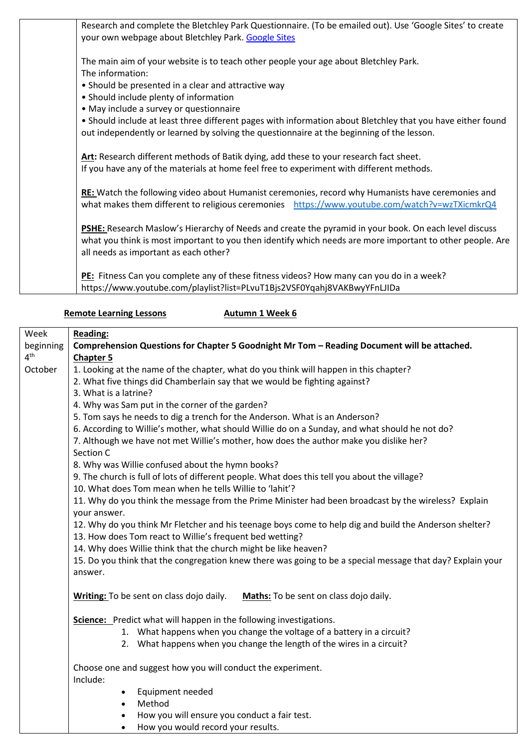| Research and complete the Bletchley Park Questionnaire. (To be emailed out). Use 'Google Sites' to create   |
|-------------------------------------------------------------------------------------------------------------|
| your own webpage about Bletchley Park. Google Sites                                                         |
| The main aim of your website is to teach other people your age about Bletchley Park.                        |
| The information:                                                                                            |
| • Should be presented in a clear and attractive way                                                         |
| • Should include plenty of information                                                                      |
| • May include a survey or questionnaire                                                                     |
| . Should include at least three different pages with information about Bletchley that you have either found |
| out independently or learned by solving the questionnaire at the beginning of the lesson.                   |
|                                                                                                             |
| Art: Research different methods of Batik dying, add these to your research fact sheet.                      |
| If you have any of the materials at home feel free to experiment with different methods.                    |
|                                                                                                             |
| RE: Watch the following video about Humanist ceremonies, record why Humanists have ceremonies and           |
| what makes them different to religious ceremonies https://www.youtube.com/watch?v=wzTXicmkrQ4               |
| PSHE: Research Maslow's Hierarchy of Needs and create the pyramid in your book. On each level discuss       |
| what you think is most important to you then identify which needs are more important to other people. Are   |
| all needs as important as each other?                                                                       |
|                                                                                                             |
| PE: Fitness Can you complete any of these fitness videos? How many can you do in a week?                    |
| https://www.youtube.com/playlist?list=PLvuT1Bjs2VSF0Yqahj8VAKBwyYFnLJIDa                                    |

# **Remote Learning Lessons Autumn 1 Week 6**

| Week            | <b>Reading:</b>                                                                                                      |
|-----------------|----------------------------------------------------------------------------------------------------------------------|
| beginning       | Comprehension Questions for Chapter 5 Goodnight Mr Tom - Reading Document will be attached.                          |
| 4 <sup>th</sup> | <b>Chapter 5</b>                                                                                                     |
| October         | 1. Looking at the name of the chapter, what do you think will happen in this chapter?                                |
|                 | 2. What five things did Chamberlain say that we would be fighting against?                                           |
|                 | 3. What is a latrine?                                                                                                |
|                 | 4. Why was Sam put in the corner of the garden?                                                                      |
|                 | 5. Tom says he needs to dig a trench for the Anderson. What is an Anderson?                                          |
|                 | 6. According to Willie's mother, what should Willie do on a Sunday, and what should he not do?                       |
|                 | 7. Although we have not met Willie's mother, how does the author make you dislike her?                               |
|                 | Section C                                                                                                            |
|                 | 8. Why was Willie confused about the hymn books?                                                                     |
|                 | 9. The church is full of lots of different people. What does this tell you about the village?                        |
|                 | 10. What does Tom mean when he tells Willie to 'lahit'?                                                              |
|                 | 11. Why do you think the message from the Prime Minister had been broadcast by the wireless? Explain<br>your answer. |
|                 | 12. Why do you think Mr Fletcher and his teenage boys come to help dig and build the Anderson shelter?               |
|                 | 13. How does Tom react to Willie's frequent bed wetting?                                                             |
|                 | 14. Why does Willie think that the church might be like heaven?                                                      |
|                 | 15. Do you think that the congregation knew there was going to be a special message that day? Explain your           |
|                 | answer.                                                                                                              |
|                 |                                                                                                                      |
|                 | Writing: To be sent on class dojo daily.<br>Maths: To be sent on class dojo daily.                                   |
|                 | Science: Predict what will happen in the following investigations.                                                   |
|                 | 1. What happens when you change the voltage of a battery in a circuit?                                               |
|                 | 2. What happens when you change the length of the wires in a circuit?                                                |
|                 |                                                                                                                      |
|                 | Choose one and suggest how you will conduct the experiment.<br>Include:                                              |
|                 | Equipment needed<br>$\bullet$                                                                                        |
|                 | Method                                                                                                               |
|                 | How you will ensure you conduct a fair test.                                                                         |
|                 |                                                                                                                      |

• How you would record your results.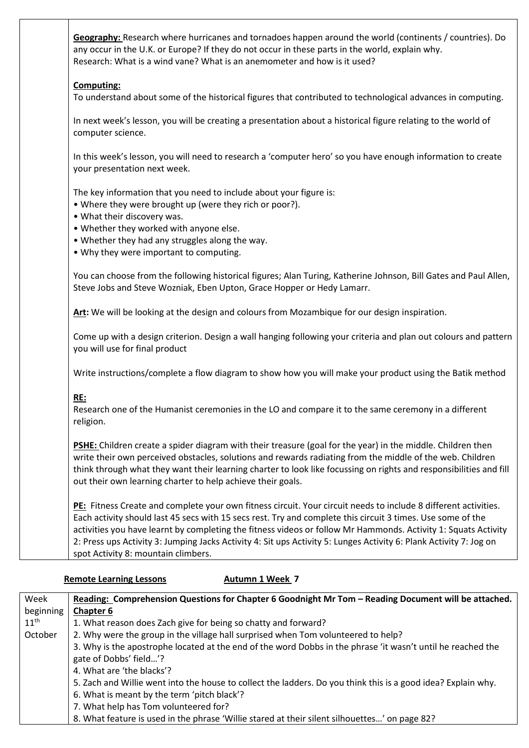| Geography: Research where hurricanes and tornadoes happen around the world (continents / countries). Do<br>any occur in the U.K. or Europe? If they do not occur in these parts in the world, explain why.<br>Research: What is a wind vane? What is an anemometer and how is it used?                                                                                                                                                                                                                        |
|---------------------------------------------------------------------------------------------------------------------------------------------------------------------------------------------------------------------------------------------------------------------------------------------------------------------------------------------------------------------------------------------------------------------------------------------------------------------------------------------------------------|
| <b>Computing:</b><br>To understand about some of the historical figures that contributed to technological advances in computing.                                                                                                                                                                                                                                                                                                                                                                              |
| In next week's lesson, you will be creating a presentation about a historical figure relating to the world of<br>computer science.                                                                                                                                                                                                                                                                                                                                                                            |
| In this week's lesson, you will need to research a 'computer hero' so you have enough information to create<br>your presentation next week.                                                                                                                                                                                                                                                                                                                                                                   |
| The key information that you need to include about your figure is:<br>• Where they were brought up (were they rich or poor?).<br>• What their discovery was.<br>. Whether they worked with anyone else.<br>• Whether they had any struggles along the way.<br>. Why they were important to computing.                                                                                                                                                                                                         |
| You can choose from the following historical figures; Alan Turing, Katherine Johnson, Bill Gates and Paul Allen,<br>Steve Jobs and Steve Wozniak, Eben Upton, Grace Hopper or Hedy Lamarr.                                                                                                                                                                                                                                                                                                                    |
| Art: We will be looking at the design and colours from Mozambique for our design inspiration.                                                                                                                                                                                                                                                                                                                                                                                                                 |
| Come up with a design criterion. Design a wall hanging following your criteria and plan out colours and pattern<br>you will use for final product                                                                                                                                                                                                                                                                                                                                                             |
| Write instructions/complete a flow diagram to show how you will make your product using the Batik method                                                                                                                                                                                                                                                                                                                                                                                                      |
| <b>RE:</b><br>Research one of the Humanist ceremonies in the LO and compare it to the same ceremony in a different<br>religion.                                                                                                                                                                                                                                                                                                                                                                               |
| PSHE: Children create a spider diagram with their treasure (goal for the year) in the middle. Children then<br>write their own perceived obstacles, solutions and rewards radiating from the middle of the web. Children<br>think through what they want their learning charter to look like focussing on rights and responsibilities and fill<br>out their own learning charter to help achieve their goals.                                                                                                 |
| PE: Fitness Create and complete your own fitness circuit. Your circuit needs to include 8 different activities.<br>Each activity should last 45 secs with 15 secs rest. Try and complete this circuit 3 times. Use some of the<br>activities you have learnt by completing the fitness videos or follow Mr Hammonds. Activity 1: Squats Activity<br>2: Press ups Activity 3: Jumping Jacks Activity 4: Sit ups Activity 5: Lunges Activity 6: Plank Activity 7: Jog on<br>spot Activity 8: mountain climbers. |

# **Remote Learning Lessons Autumn 1 Week 7**

| Week             | Reading: Comprehension Questions for Chapter 6 Goodnight Mr Tom - Reading Document will be attached.          |
|------------------|---------------------------------------------------------------------------------------------------------------|
| beginning        | <b>Chapter 6</b>                                                                                              |
| $11^{\text{th}}$ | 1. What reason does Zach give for being so chatty and forward?                                                |
| October          | 2. Why were the group in the village hall surprised when Tom volunteered to help?                             |
|                  | 3. Why is the apostrophe located at the end of the word Dobbs in the phrase 'it wasn't until he reached the   |
|                  | gate of Dobbs' field'?                                                                                        |
|                  | 4. What are 'the blacks'?                                                                                     |
|                  | 5. Zach and Willie went into the house to collect the ladders. Do you think this is a good idea? Explain why. |
|                  | 6. What is meant by the term 'pitch black'?                                                                   |
|                  | 7. What help has Tom volunteered for?                                                                         |
|                  | 8. What feature is used in the phrase 'Willie stared at their silent silhouettes' on page 82?                 |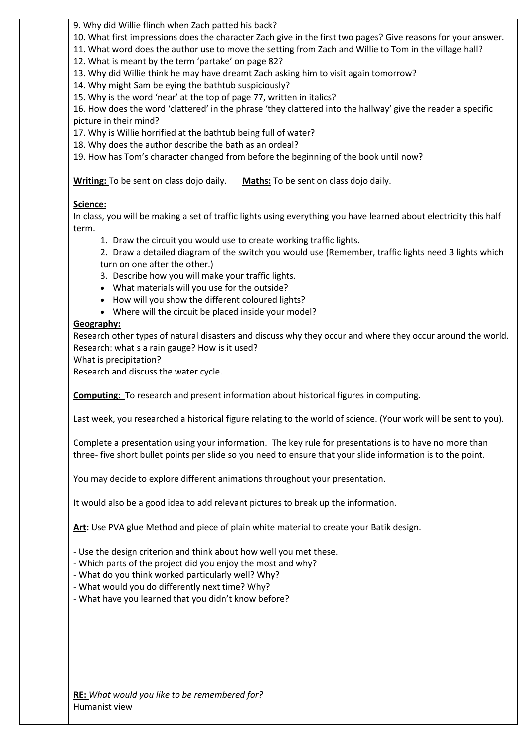9. Why did Willie flinch when Zach patted his back?

10. What first impressions does the character Zach give in the first two pages? Give reasons for your answer.

11. What word does the author use to move the setting from Zach and Willie to Tom in the village hall?

12. What is meant by the term 'partake' on page 82?

13. Why did Willie think he may have dreamt Zach asking him to visit again tomorrow?

14. Why might Sam be eying the bathtub suspiciously?

15. Why is the word 'near' at the top of page 77, written in italics?

16. How does the word 'clattered' in the phrase 'they clattered into the hallway' give the reader a specific picture in their mind?

17. Why is Willie horrified at the bathtub being full of water?

18. Why does the author describe the bath as an ordeal?

19. How has Tom's character changed from before the beginning of the book until now?

**Writing:** To be sent on class dojo daily. **Maths:** To be sent on class dojo daily.

## **Science:**

In class, you will be making a set of traffic lights using everything you have learned about electricity this half term.

1. Draw the circuit you would use to create working traffic lights.

2. Draw a detailed diagram of the switch you would use (Remember, traffic lights need 3 lights which turn on one after the other.)

3. Describe how you will make your traffic lights.

- What materials will you use for the outside?
- How will you show the different coloured lights?
- Where will the circuit be placed inside your model?

## **Geography:**

Research other types of natural disasters and discuss why they occur and where they occur around the world. Research: what s a rain gauge? How is it used?

What is precipitation?

Research and discuss the water cycle.

**Computing:** To research and present information about historical figures in computing.

Last week, you researched a historical figure relating to the world of science. (Your work will be sent to you).

Complete a presentation using your information. The key rule for presentations is to have no more than three- five short bullet points per slide so you need to ensure that your slide information is to the point.

You may decide to explore different animations throughout your presentation.

It would also be a good idea to add relevant pictures to break up the information.

**Art:** Use PVA glue Method and piece of plain white material to create your Batik design.

- Use the design criterion and think about how well you met these.

- Which parts of the project did you enjoy the most and why?

- What do you think worked particularly well? Why?
- What would you do differently next time? Why?
- What have you learned that you didn't know before?

**RE:** *What would you like to be remembered for?* Humanist view